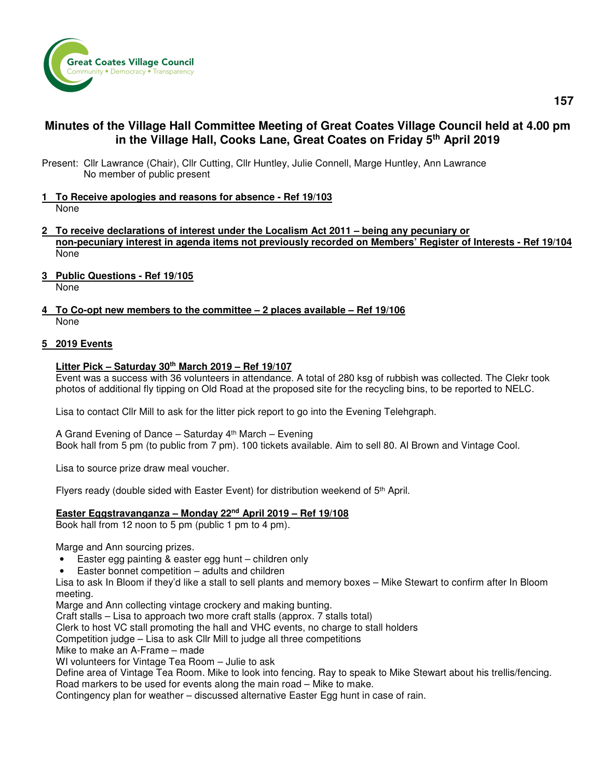

# **Minutes of the Village Hall Committee Meeting of Great Coates Village Council held at 4.00 pm in the Village Hall, Cooks Lane, Great Coates on Friday 5th April 2019**

- Present: Cllr Lawrance (Chair), Cllr Cutting, Cllr Huntley, Julie Connell, Marge Huntley, Ann Lawrance No member of public present
- **1 To Receive apologies and reasons for absence Ref 19/103**  None
- **2 To receive declarations of interest under the Localism Act 2011 being any pecuniary or non-pecuniary interest in agenda items not previously recorded on Members' Register of Interests - Ref 19/104**  None
- **3 Public Questions Ref 19/105**  None
- **4 To Co-opt new members to the committee 2 places available Ref 19/106**  None

## **5 2019 Events**

### **Litter Pick – Saturday 30th March 2019 – Ref 19/107**

 Event was a success with 36 volunteers in attendance. A total of 280 ksg of rubbish was collected. The Clekr took photos of additional fly tipping on Old Road at the proposed site for the recycling bins, to be reported to NELC.

Lisa to contact Cllr Mill to ask for the litter pick report to go into the Evening Telehgraph.

A Grand Evening of Dance – Saturday  $4<sup>th</sup>$  March – Evening Book hall from 5 pm (to public from 7 pm). 100 tickets available. Aim to sell 80. Al Brown and Vintage Cool.

Lisa to source prize draw meal voucher.

Flyers ready (double sided with Easter Event) for distribution weekend of 5<sup>th</sup> April.

## **Easter Eggstravanganza – Monday 22nd April 2019 – Ref 19/108**

Book hall from 12 noon to 5 pm (public 1 pm to 4 pm).

Marge and Ann sourcing prizes.

- Easter egg painting & easter egg hunt children only
- Easter bonnet competition  $-$  adults and children

 Lisa to ask In Bloom if they'd like a stall to sell plants and memory boxes – Mike Stewart to confirm after In Bloom meeting.

Marge and Ann collecting vintage crockery and making bunting.

Craft stalls – Lisa to approach two more craft stalls (approx. 7 stalls total)

Clerk to host VC stall promoting the hall and VHC events, no charge to stall holders

Competition judge – Lisa to ask Cllr Mill to judge all three competitions

Mike to make an A-Frame – made

WI volunteers for Vintage Tea Room – Julie to ask

 Define area of Vintage Tea Room. Mike to look into fencing. Ray to speak to Mike Stewart about his trellis/fencing. Road markers to be used for events along the main road – Mike to make.

Contingency plan for weather – discussed alternative Easter Egg hunt in case of rain.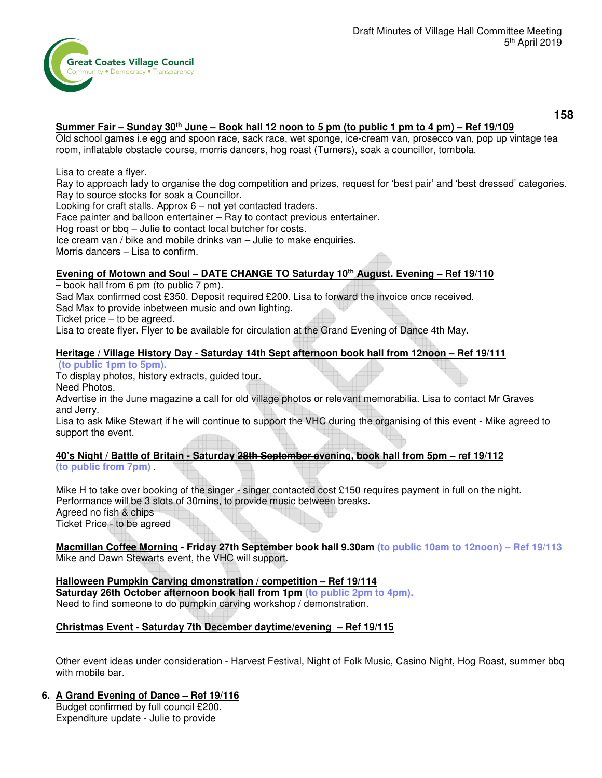

**158** 

## **Summer Fair – Sunday 30th June – Book hall 12 noon to 5 pm (to public 1 pm to 4 pm) – Ref 19/109**

 Old school games i.e egg and spoon race, sack race, wet sponge, ice-cream van, prosecco van, pop up vintage tea room, inflatable obstacle course, morris dancers, hog roast (Turners), soak a councillor, tombola.

#### Lisa to create a flyer.

 Ray to approach lady to organise the dog competition and prizes, request for 'best pair' and 'best dressed' categories. Ray to source stocks for soak a Councillor.

Looking for craft stalls. Approx 6 – not yet contacted traders.

Face painter and balloon entertainer – Ray to contact previous entertainer.

Hog roast or bbq – Julie to contact local butcher for costs.

Ice cream van / bike and mobile drinks van – Julie to make enquiries.

Morris dancers – Lisa to confirm.

### **Evening of Motown and Soul – DATE CHANGE TO Saturday 10th August. Evening – Ref 19/110**

– book hall from 6 pm (to public 7 pm).

Sad Max confirmed cost £350. Deposit required £200. Lisa to forward the invoice once received.

Sad Max to provide inbetween music and own lighting.

Ticket price – to be agreed.

Lisa to create flyer. Flyer to be available for circulation at the Grand Evening of Dance 4th May.

### **Heritage / Village History Day** - **Saturday 14th Sept afternoon book hall from 12noon – Ref 19/111**

**(to public 1pm to 5pm).** 

To display photos, history extracts, guided tour.

Need Photos.

Advertise in the June magazine a call for old village photos or relevant memorabilia. Lisa to contact Mr Graves and Jerry.

Lisa to ask Mike Stewart if he will continue to support the VHC during the organising of this event - Mike agreed to support the event.

### **40's Night / Battle of Britain - Saturday 28th September evening, book hall from 5pm – ref 19/112 (to public from 7pm)** .

Mike H to take over booking of the singer - singer contacted cost £150 requires payment in full on the night. Performance will be 3 slots of 30mins, to provide music between breaks. Agreed no fish & chips Ticket Price - to be agreed

**Macmillan Coffee Morning - Friday 27th September book hall 9.30am (to public 10am to 12noon) – Ref 19/113** Mike and Dawn Stewarts event, the VHC will support.

#### **Halloween Pumpkin Carving dmonstration / competition – Ref 19/114 Saturday 26th October afternoon book hall from 1pm (to public 2pm to 4pm).**  Need to find someone to do pumpkin carving workshop / demonstration.

## **Christmas Event - Saturday 7th December daytime/evening – Ref 19/115**

Other event ideas under consideration - Harvest Festival, Night of Folk Music, Casino Night, Hog Roast, summer bbq with mobile bar.

### **6. A Grand Evening of Dance – Ref 19/116**

Budget confirmed by full council £200. Expenditure update - Julie to provide